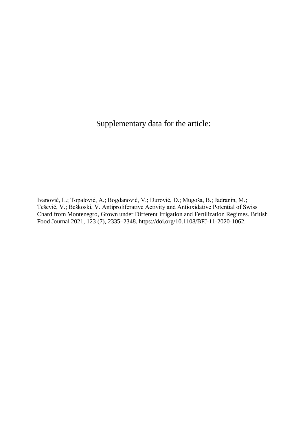Supplementary data for the article:

Ivanović, L.; Topalović, A.; Bogdanović, V.; Đurović, D.; Mugoša, B.; Jadranin, M.; Tešević, V.; Beškoski, V. Antiproliferative Activity and Antioxidative Potential of Swiss Chard from Montenegro, Grown under Different Irrigation and Fertilization Regimes. British Food Journal 2021, 123 (7), 2335–2348. https://doi.org/10.1108/BFJ-11-2020-1062.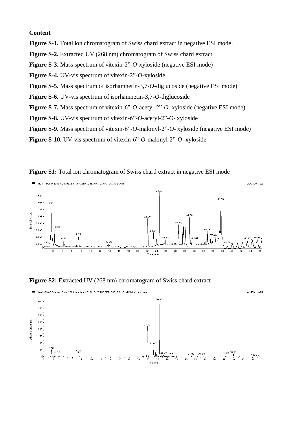## **Content**

**Figure S-1.** Total ion chromatogram of Swiss chard extract in negative ESI mode.

**Figure S-2.** Extracted UV (268 nm) chromatogram of Swiss chard extract

**Figure S-3.** Mass spectrum of vitexin-2"-*O*-xyloside (negative ESI mode)

**Figure S-4.** UV-vis spectrum of vitexin-2"-*O*-xyloside

**Figure S-5.** Mass spectrum of isorhamnetin-3,7-*O*-diglucoside (negative ESI mode)

**Figure S-6.** UV-vis spectrum of isorhamnetin-3,7-*O*-diglucoside

**Figure S-7.** Mass spectrum of vitexin-6"-*O*-acetyl-2"-*O*- xyloside (negative ESI mode)

**Figure S-8.** UV-vis spectrum of vitexin-6"-*O*-acetyl-2"-*O*- xyloside

**Figure S-9.** Mass spectrum of vitexin-6"-*O*-malonyl-2"-*O*- xyloside (negative ESI mode)

**Figure S-10.** UV-vis spectrum of vitexin-6"-*O*-malonyl-2"-*O*- xyloside





**Figure S2:** Extracted UV (268 nm) chromatogram of Swiss chard extract

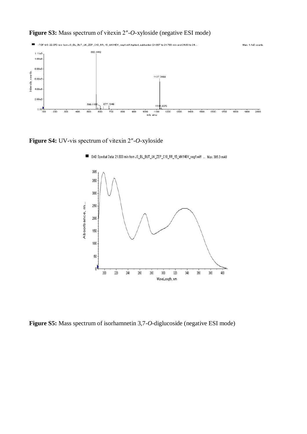## **Figure S3:** Mass spectrum of vitexin 2″-*O*-xyloside (negative ESI mode)



**Figure S4:** UV-vis spectrum of vitexin 2″-*O*-xyloside



DAD Spectral Data: 21.803 min from JS BL BUT UK ZEP C18 RR 15 MK140V neg1.wiff ... Max. 385.0 mAU

**Figure S5:** Mass spectrum of isorhamnetin 3,7-*O*-diglucoside (negative ESI mode)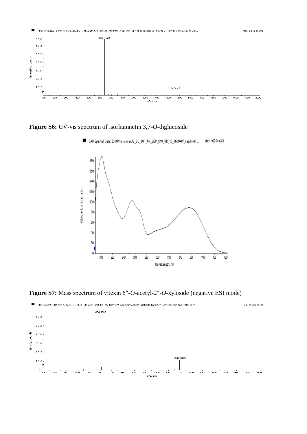

**Figure S6:** UV-vis spectrum of isorhamnetin 3,7-*O*-diglucoside



DAD Spectral Data: 23.043 min from JS\_BL\_BUT\_UK\_ZEP\_C18\_RR\_15\_MK140V\_neg1.wiff ... Max. 189.0 mAU

**Figure S7:** Mass spectrum of vitexin 6″-*O*-acetyl-2″-*O*-xyloside (negative ESI mode)

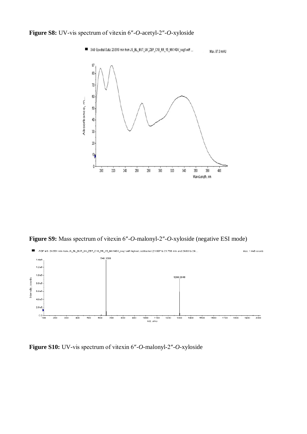

**Figure S9:** Mass spectrum of vitexin 6″-*O*-malonyl-2″-*O*-xyloside (negative ESI mode)



**Figure S10:** UV-vis spectrum of vitexin 6″-*O*-malonyl-2″-*O*-xyloside